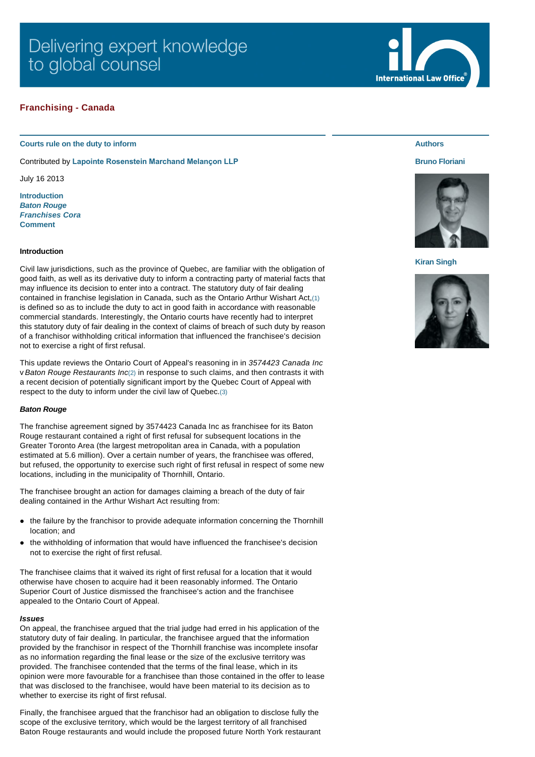# **Franchising - Canada**

### **Courts rule on the duty to inform**

Contributed by **[Lapointe Rosenstein Marchand Melançon LLP](http://www.internationallawoffice.com/gesr.ashx?l=7JNTME5)**

July 16 2013

**[Introduction](#page-0-0)** *[Baton Rouge](#page-0-1) [Franchises Cora](#page-1-0)* **[Comment](#page-1-1)**

### <span id="page-0-0"></span>**Introduction**

Civil law jurisdictions, such as the province of Quebec, are familiar with the obligation of good faith, as well as its derivative duty to inform a contracting party of material facts that may influence its decision to enter into a contract. The statutory duty of fair dealing contained in franchise legislation in Canada, such as the Ontario Arthur Wishart Act,[\(1\)](#page-2-0) is defined so as to include the duty to act in good faith in accordance with reasonable commercial standards. Interestingly, the Ontario courts have recently had to interpret this statutory duty of fair dealing in the context of claims of breach of such duty by reason of a franchisor withholding critical information that influenced the franchisee's decision not to exercise a right of first refusal.

This update reviews the Ontario Court of Appeal's reasoning in in *3574423 Canada Inc* v *Baton Rouge Restaurants Inc*[\(2\)](#page-2-1) in response to such claims, and then contrasts it with a recent decision of potentially significant import by the Quebec Court of Appeal with respect to the duty to inform under the civil law of Quebec.[\(3\)](#page-2-2)

## <span id="page-0-1"></span>*Baton Rouge*

The franchise agreement signed by 3574423 Canada Inc as franchisee for its Baton Rouge restaurant contained a right of first refusal for subsequent locations in the Greater Toronto Area (the largest metropolitan area in Canada, with a population estimated at 5.6 million). Over a certain number of years, the franchisee was offered, but refused, the opportunity to exercise such right of first refusal in respect of some new locations, including in the municipality of Thornhill, Ontario.

The franchisee brought an action for damages claiming a breach of the duty of fair dealing contained in the Arthur Wishart Act resulting from:

- the failure by the franchisor to provide adequate information concerning the Thornhill location; and
- l the withholding of information that would have influenced the franchisee's decision not to exercise the right of first refusal.

The franchisee claims that it waived its right of first refusal for a location that it would otherwise have chosen to acquire had it been reasonably informed. The Ontario Superior Court of Justice dismissed the franchisee's action and the franchisee appealed to the Ontario Court of Appeal.

#### *Issues*

On appeal, the franchisee argued that the trial judge had erred in his application of the statutory duty of fair dealing. In particular, the franchisee argued that the information provided by the franchisor in respect of the Thornhill franchise was incomplete insofar as no information regarding the final lease or the size of the exclusive territory was provided. The franchisee contended that the terms of the final lease, which in its opinion were more favourable for a franchisee than those contained in the offer to lease that was disclosed to the franchisee, would have been material to its decision as to whether to exercise its right of first refusal.

Finally, the franchisee argued that the franchisor had an obligation to disclose fully the scope of the exclusive territory, which would be the largest territory of all franchised Baton Rouge restaurants and would include the proposed future North York restaurant

# **Authors**

### **[Bruno Floriani](http://www.internationallawoffice.com/gesr.ashx?l=7JNTME8)**



# **[Kiran Singh](http://www.internationallawoffice.com/gesr.ashx?l=7JNTMEB)**



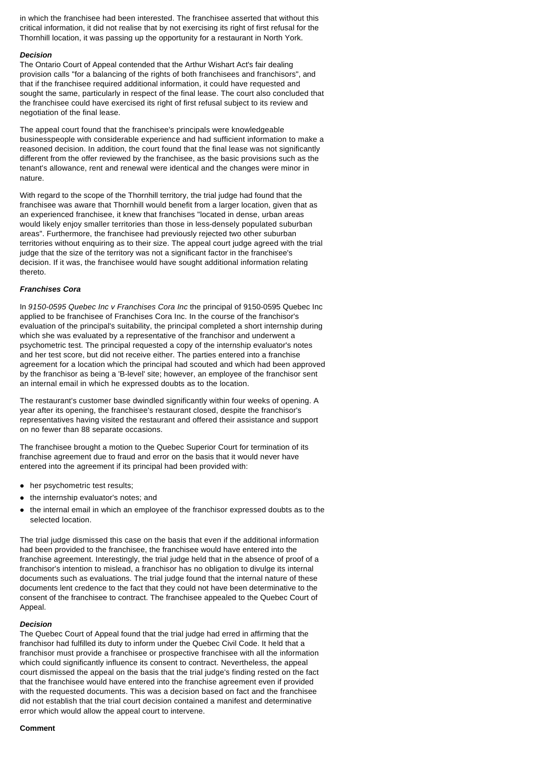in which the franchisee had been interested. The franchisee asserted that without this critical information, it did not realise that by not exercising its right of first refusal for the Thornhill location, it was passing up the opportunity for a restaurant in North York.

### *Decision*

The Ontario Court of Appeal contended that the Arthur Wishart Act's fair dealing provision calls "for a balancing of the rights of both franchisees and franchisors", and that if the franchisee required additional information, it could have requested and sought the same, particularly in respect of the final lease. The court also concluded that the franchisee could have exercised its right of first refusal subject to its review and negotiation of the final lease.

The appeal court found that the franchisee's principals were knowledgeable businesspeople with considerable experience and had sufficient information to make a reasoned decision. In addition, the court found that the final lease was not significantly different from the offer reviewed by the franchisee, as the basic provisions such as the tenant's allowance, rent and renewal were identical and the changes were minor in nature.

With regard to the scope of the Thornhill territory, the trial judge had found that the franchisee was aware that Thornhill would benefit from a larger location, given that as an experienced franchisee, it knew that franchises "located in dense, urban areas would likely enjoy smaller territories than those in less-densely populated suburban areas". Furthermore, the franchisee had previously rejected two other suburban territories without enquiring as to their size. The appeal court judge agreed with the trial judge that the size of the territory was not a significant factor in the franchisee's decision. If it was, the franchisee would have sought additional information relating thereto.

## <span id="page-1-0"></span>*Franchises Cora*

In *9150-0595 Quebec Inc v Franchises Cora Inc* the principal of 9150-0595 Quebec Inc applied to be franchisee of Franchises Cora Inc. In the course of the franchisor's evaluation of the principal's suitability, the principal completed a short internship during which she was evaluated by a representative of the franchisor and underwent a psychometric test. The principal requested a copy of the internship evaluator's notes and her test score, but did not receive either. The parties entered into a franchise agreement for a location which the principal had scouted and which had been approved by the franchisor as being a 'B-level' site; however, an employee of the franchisor sent an internal email in which he expressed doubts as to the location.

The restaurant's customer base dwindled significantly within four weeks of opening. A year after its opening, the franchisee's restaurant closed, despite the franchisor's representatives having visited the restaurant and offered their assistance and support on no fewer than 88 separate occasions.

The franchisee brought a motion to the Quebec Superior Court for termination of its franchise agreement due to fraud and error on the basis that it would never have entered into the agreement if its principal had been provided with:

- her psychometric test results;
- the internship evaluator's notes; and
- l the internal email in which an employee of the franchisor expressed doubts as to the selected location.

The trial judge dismissed this case on the basis that even if the additional information had been provided to the franchisee, the franchisee would have entered into the franchise agreement. Interestingly, the trial judge held that in the absence of proof of a franchisor's intention to mislead, a franchisor has no obligation to divulge its internal documents such as evaluations. The trial judge found that the internal nature of these documents lent credence to the fact that they could not have been determinative to the consent of the franchisee to contract. The franchisee appealed to the Quebec Court of Appeal.

## *Decision*

The Quebec Court of Appeal found that the trial judge had erred in affirming that the franchisor had fulfilled its duty to inform under the Quebec Civil Code. It held that a franchisor must provide a franchisee or prospective franchisee with all the information which could significantly influence its consent to contract. Nevertheless, the appeal court dismissed the appeal on the basis that the trial judge's finding rested on the fact that the franchisee would have entered into the franchise agreement even if provided with the requested documents. This was a decision based on fact and the franchisee did not establish that the trial court decision contained a manifest and determinative error which would allow the appeal court to intervene.

### <span id="page-1-1"></span>**Comment**